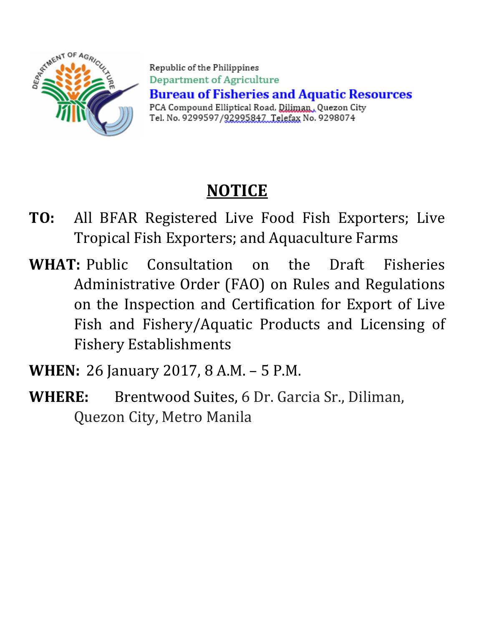

Republic of the Philippines Department of Agriculture **Bureau of Fisheries and Aquatic Resources** PCA Compound Elliptical Road, Diliman, Quezon City Tel. No. 9299597/92995847 Telefax No. 9298074

# **NOTICE**

- **TO:** All BFAR Registered Live Food Fish Exporters; Live Tropical Fish Exporters; and Aquaculture Farms
- **WHAT:** Public Consultation on the Draft Fisheries Administrative Order (FAO) on Rules and Regulations on the Inspection and Certification for Export of Live Fish and Fishery/Aquatic Products and Licensing of Fishery Establishments
- **WHEN:** 26 January 2017, 8 A.M. 5 P.M.
- **WHERE:** Brentwood Suites, 6 Dr. Garcia Sr., Diliman, Quezon City, Metro Manila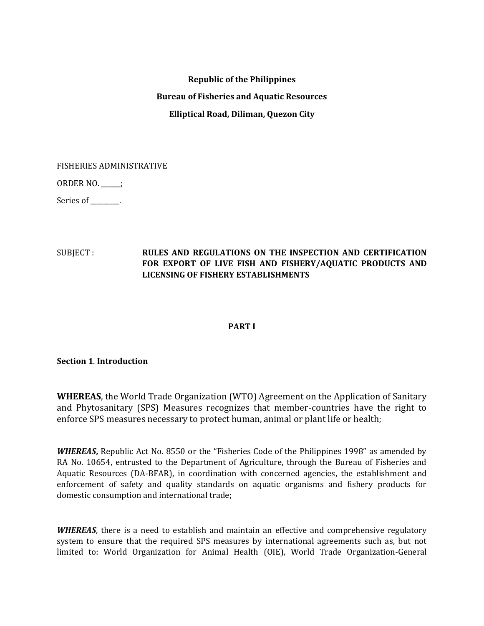# **Republic of the Philippines Bureau of Fisheries and Aquatic Resources Elliptical Road, Diliman, Quezon City**

FISHERIES ADMINISTRATIVE

ORDER NO. \_\_\_\_\_\_;

Series of \_\_\_\_\_\_\_.

# SUBJECT : **RULES AND REGULATIONS ON THE INSPECTION AND CERTIFICATION FOR EXPORT OF LIVE FISH AND FISHERY/AQUATIC PRODUCTS AND LICENSING OF FISHERY ESTABLISHMENTS**

# **PART I**

**Section 1**. **Introduction**

**WHEREAS**, the World Trade Organization (WTO) Agreement on the Application of Sanitary and Phytosanitary (SPS) Measures recognizes that member-countries have the right to enforce SPS measures necessary to protect human, animal or plant life or health;

*WHEREAS***,** Republic Act No. 8550 or the "Fisheries Code of the Philippines 1998" as amended by RA No. 10654, entrusted to the Department of Agriculture, through the Bureau of Fisheries and Aquatic Resources (DA-BFAR), in coordination with concerned agencies, the establishment and enforcement of safety and quality standards on aquatic organisms and fishery products for domestic consumption and international trade;

*WHEREAS*, there is a need to establish and maintain an effective and comprehensive regulatory system to ensure that the required SPS measures by international agreements such as, but not limited to: World Organization for Animal Health (OIE), World Trade Organization-General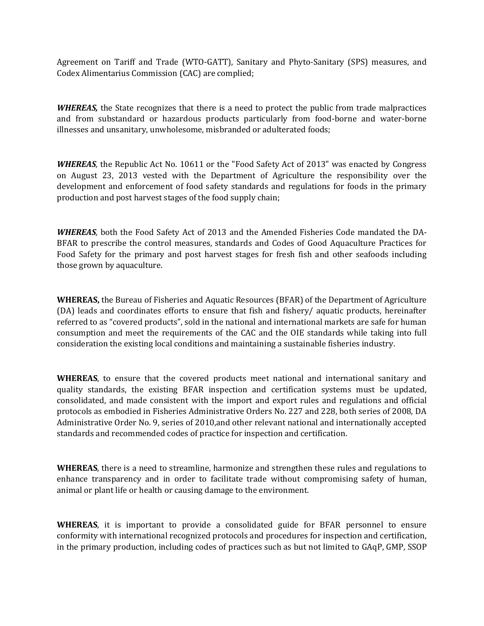Agreement on Tariff and Trade (WTO-GATT), Sanitary and Phyto-Sanitary (SPS) measures, and Codex Alimentarius Commission (CAC) are complied;

*WHEREAS,* the State recognizes that there is a need to protect the public from trade malpractices and from substandard or hazardous products particularly from food-borne and water-borne illnesses and unsanitary, unwholesome, misbranded or adulterated foods;

*WHEREAS,* the Republic Act No. 10611 or the "Food Safety Act of 2013" was enacted by Congress on August 23, 2013 vested with the Department of Agriculture the responsibility over the development and enforcement of food safety standards and regulations for foods in the primary production and post harvest stages of the food supply chain;

*WHEREAS,* both the Food Safety Act of 2013 and the Amended Fisheries Code mandated the DA-BFAR to prescribe the control measures, standards and Codes of Good Aquaculture Practices for Food Safety for the primary and post harvest stages for fresh fish and other seafoods including those grown by aquaculture.

**WHEREAS,** the Bureau of Fisheries and Aquatic Resources (BFAR) of the Department of Agriculture (DA) leads and coordinates efforts to ensure that fish and fishery/ aquatic products, hereinafter referred to as "covered products", sold in the national and international markets are safe for human consumption and meet the requirements of the CAC and the OIE standards while taking into full consideration the existing local conditions and maintaining a sustainable fisheries industry.

**WHEREAS**, to ensure that the covered products meet national and international sanitary and quality standards, the existing BFAR inspection and certification systems must be updated, consolidated, and made consistent with the import and export rules and regulations and official protocols as embodied in Fisheries Administrative Orders No. 227 and 228, both series of 2008, DA Administrative Order No. 9, series of 2010,and other relevant national and internationally accepted standards and recommended codes of practice for inspection and certification.

**WHEREAS**, there is a need to streamline, harmonize and strengthen these rules and regulations to enhance transparency and in order to facilitate trade without compromising safety of human, animal or plant life or health or causing damage to the environment.

**WHEREAS**, it is important to provide a consolidated guide for BFAR personnel to ensure conformity with international recognized protocols and procedures for inspection and certification, in the primary production, including codes of practices such as but not limited to GAqP, GMP, SSOP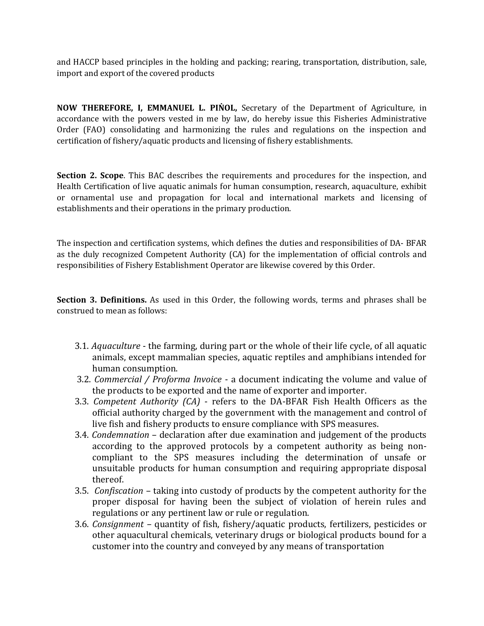and HACCP based principles in the holding and packing; rearing, transportation, distribution, sale, import and export of the covered products

**NOW THEREFORE, I, EMMANUEL L. PINOL,** Secretary of the Department of Agriculture, in accordance with the powers vested in me by law, do hereby issue this Fisheries Administrative Order (FAO) consolidating and harmonizing the rules and regulations on the inspection and certification of fishery/aquatic products and licensing of fishery establishments.

**Section 2. Scope**. This BAC describes the requirements and procedures for the inspection, and Health Certification of live aquatic animals for human consumption, research, aquaculture, exhibit or ornamental use and propagation for local and international markets and licensing of establishments and their operations in the primary production.

The inspection and certification systems, which defines the duties and responsibilities of DA- BFAR as the duly recognized Competent Authority (CA) for the implementation of official controls and responsibilities of Fishery Establishment Operator are likewise covered by this Order.

**Section 3. Definitions.** As used in this Order, the following words, terms and phrases shall be construed to mean as follows:

- 3.1. *Aquaculture* the farming, during part or the whole of their life cycle, of all aquatic animals, except mammalian species, aquatic reptiles and amphibians intended for human consumption.
- 3.2. *Commercial / Proforma Invoice* a document indicating the volume and value of the products to be exported and the name of exporter and importer.
- 3.3. *Competent Authority (CA)* refers to the DA-BFAR Fish Health Officers as the official authority charged by the government with the management and control of live fish and fishery products to ensure compliance with SPS measures.
- 3.4. *Condemnation* declaration after due examination and judgement of the products according to the approved protocols by a competent authority as being noncompliant to the SPS measures including the determination of unsafe or unsuitable products for human consumption and requiring appropriate disposal thereof.
- 3.5. *Confiscation* taking into custody of products by the competent authority for the proper disposal for having been the subject of violation of herein rules and regulations or any pertinent law or rule or regulation.
- 3.6. *Consignment* quantity of fish, fishery/aquatic products, fertilizers, pesticides or other aquacultural chemicals, veterinary drugs or biological products bound for a customer into the country and conveyed by any means of transportation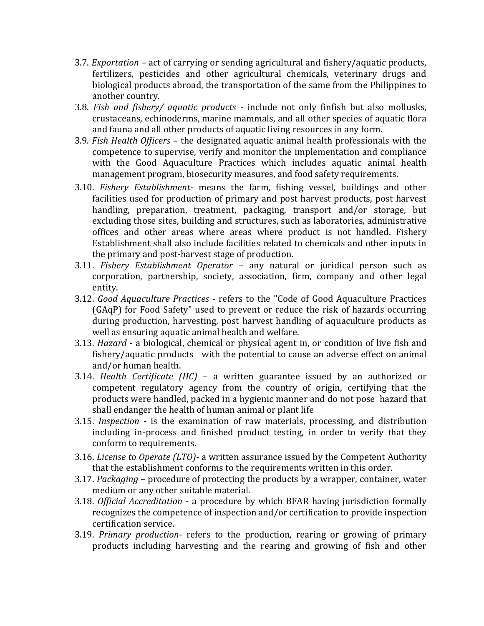- 3.7. *Exportation* act of carrying or sending agricultural and fishery/aquatic products, fertilizers, pesticides and other agricultural chemicals, veterinary drugs and biological products abroad, the transportation of the same from the Philippines to another country.
- 3.8. *Fish and fishery/ aquatic products* include not only finfish but also mollusks, crustaceans, echinoderms, marine mammals, and all other species of aquatic flora and fauna and all other products of aquatic living resources in any form.
- 3.9. *Fish Health Officers* the designated aquatic animal health professionals with the competence to supervise, verify and monitor the implementation and compliance with the Good Aquaculture Practices which includes aquatic animal health management program, biosecurity measures, and food safety requirements.
- 3.10. *Fishery Establishment* means the farm, fishing vessel, buildings and other facilities used for production of primary and post harvest products, post harvest handling, preparation, treatment, packaging, transport and/or storage, but excluding those sites, building and structures, such as laboratories, administrative offices and other areas where areas where product is not handled. Fishery Establishment shall also include facilities related to chemicals and other inputs in the primary and post-harvest stage of production.
- 3.11. *Fishery Establishment Operator* any natural or juridical person such as corporation, partnership, society, association, firm, company and other legal entity.
- 3.12. *Good Aquaculture Practices* refers to the "Code of Good Aquaculture Practices (GAqP) for Food Safety" used to prevent or reduce the risk of hazards occurring during production, harvesting, post harvest handling of aquaculture products as well as ensuring aquatic animal health and welfare.
- 3.13. *Hazard* a biological, chemical or physical agent in, or condition of live fish and fishery/aquatic products with the potential to cause an adverse effect on animal and/or human health.
- 3.14. *Health Certificate (HC)* a written guarantee issued by an authorized or competent regulatory agency from the country of origin, certifying that the products were handled, packed in a hygienic manner and do not pose hazard that shall endanger the health of human animal or plant life
- 3.15. *Inspection* is the examination of raw materials, processing, and distribution including in-process and finished product testing, in order to verify that they conform to requirements.
- 3.16. *License to Operate (LTO)-* a written assurance issued by the Competent Authority that the establishment conforms to the requirements written in this order.
- 3.17. *Packaging* procedure of protecting the products by a wrapper, container, water medium or any other suitable material.
- 3.18. *Official Accreditation* a procedure by which BFAR having jurisdiction formally recognizes the competence of inspection and/or certification to provide inspection certification service.
- 3.19. *Primary production* refers to the production, rearing or growing of primary products including harvesting and the rearing and growing of fish and other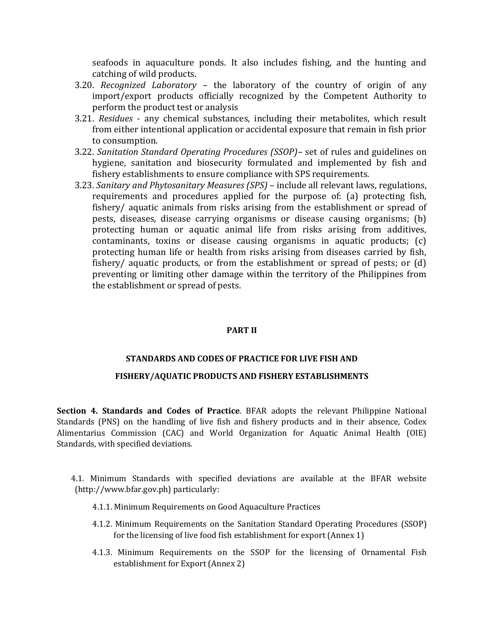seafoods in aquaculture ponds. It also includes fishing, and the hunting and catching of wild products.

- 3.20. *Recognized Laboratory* the laboratory of the country of origin of any import/export products officially recognized by the Competent Authority to perform the product test or analysis
- 3.21. *Residues* any chemical substances, including their metabolites, which result from either intentional application or accidental exposure that remain in fish prior to consumption.
- 3.22. *Sanitation Standard Operating Procedures (SSOP)–* set of rules and guidelines on hygiene, sanitation and biosecurity formulated and implemented by fish and fishery establishments to ensure compliance with SPS requirements.
- 3.23. *Sanitary and Phytosanitary Measures (SPS)* include all relevant laws, regulations, requirements and procedures applied for the purpose of: (a) protecting fish, fishery/ aquatic animals from risks arising from the establishment or spread of pests, diseases, disease carrying organisms or disease causing organisms; (b) protecting human or aquatic animal life from risks arising from additives, contaminants, toxins or disease causing organisms in aquatic products; (c) protecting human life or health from risks arising from diseases carried by fish, fishery/ aquatic products, or from the establishment or spread of pests; or (d) preventing or limiting other damage within the territory of the Philippines from the establishment or spread of pests.

#### **PART II**

#### **STANDARDS AND CODES OF PRACTICE FOR LIVE FISH AND**

#### **FISHERY/AQUATIC PRODUCTS AND FISHERY ESTABLISHMENTS**

**Section 4. Standards and Codes of Practice**. BFAR adopts the relevant Philippine National Standards (PNS) on the handling of live fish and fishery products and in their absence, Codex Alimentarius Commission (CAC) and World Organization for Aquatic Animal Health (OIE) Standards, with specified deviations.

4.1. Minimum Standards with specified deviations are available at the BFAR website (http://www.bfar.gov.ph) particularly:

- 4.1.1. Minimum Requirements on Good Aquaculture Practices
- 4.1.2. Minimum Requirements on the Sanitation Standard Operating Procedures (SSOP) for the licensing of live food fish establishment for export (Annex 1)
- 4.1.3. Minimum Requirements on the SSOP for the licensing of Ornamental Fish establishment for Export (Annex 2)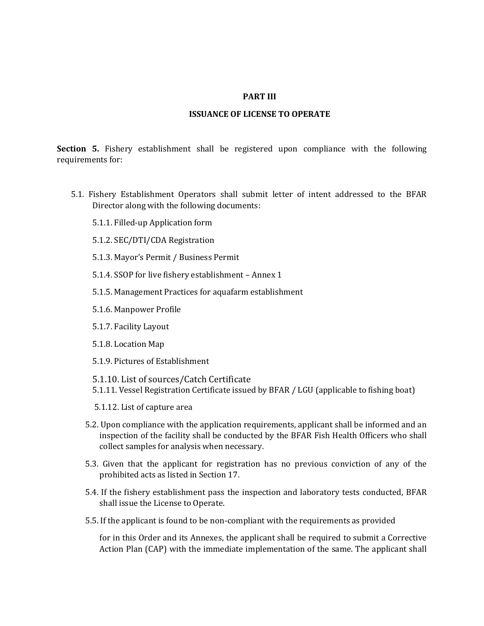#### **PART III**

#### **ISSUANCE OF LICENSE TO OPERATE**

**Section 5.** Fishery establishment shall be registered upon compliance with the following requirements for:

- 5.1. Fishery Establishment Operators shall submit letter of intent addressed to the BFAR Director along with the following documents:
	- 5.1.1. Filled-up Application form
	- 5.1.2. SEC/DTI/CDA Registration
	- 5.1.3. Mayor's Permit / Business Permit
	- 5.1.4. SSOP for live fishery establishment Annex 1
	- 5.1.5. Management Practices for aquafarm establishment
	- 5.1.6. Manpower Profile
	- 5.1.7. Facility Layout
	- 5.1.8. Location Map
	- 5.1.9. Pictures of Establishment
	- 5.1.10. List of sources/Catch Certificate
	- 5.1.11. Vessel Registration Certificate issued by BFAR / LGU (applicable to fishing boat)
	- 5.1.12. List of capture area
	- 5.2. Upon compliance with the application requirements, applicant shall be informed and an inspection of the facility shall be conducted by the BFAR Fish Health Officers who shall collect samples for analysis when necessary.
	- 5.3. Given that the applicant for registration has no previous conviction of any of the prohibited acts as listed in Section 17.
	- 5.4. If the fishery establishment pass the inspection and laboratory tests conducted, BFAR shall issue the License to Operate.
	- 5.5. If the applicant is found to be non-compliant with the requirements as provided

for in this Order and its Annexes, the applicant shall be required to submit a Corrective Action Plan (CAP) with the immediate implementation of the same. The applicant shall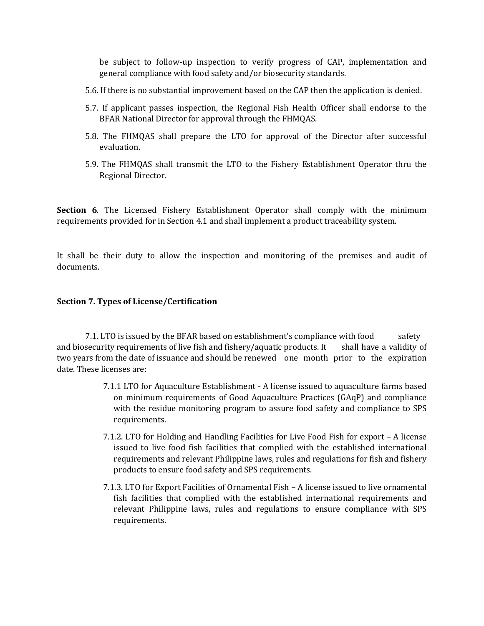be subject to follow-up inspection to verify progress of CAP, implementation and general compliance with food safety and/or biosecurity standards.

- 5.6. If there is no substantial improvement based on the CAP then the application is denied.
- 5.7. If applicant passes inspection, the Regional Fish Health Officer shall endorse to the BFAR National Director for approval through the FHMQAS.
- 5.8. The FHMQAS shall prepare the LTO for approval of the Director after successful evaluation.
- 5.9. The FHMQAS shall transmit the LTO to the Fishery Establishment Operator thru the Regional Director.

**Section 6**. The Licensed Fishery Establishment Operator shall comply with the minimum requirements provided for in Section 4.1 and shall implement a product traceability system.

It shall be their duty to allow the inspection and monitoring of the premises and audit of documents.

#### **Section 7. Types of License/Certification**

7.1. LTO is issued by the BFAR based on establishment's compliance with food safety and biosecurity requirements of live fish and fishery/aquatic products. It shall have a validity of two years from the date of issuance and should be renewed one month prior to the expiration date. These licenses are:

- 7.1.1 LTO for Aquaculture Establishment A license issued to aquaculture farms based on minimum requirements of Good Aquaculture Practices (GAqP) and compliance with the residue monitoring program to assure food safety and compliance to SPS requirements.
- 7.1.2. LTO for Holding and Handling Facilities for Live Food Fish for export A license issued to live food fish facilities that complied with the established international requirements and relevant Philippine laws, rules and regulations for fish and fishery products to ensure food safety and SPS requirements.
- 7.1.3. LTO for Export Facilities of Ornamental Fish A license issued to live ornamental fish facilities that complied with the established international requirements and relevant Philippine laws, rules and regulations to ensure compliance with SPS requirements.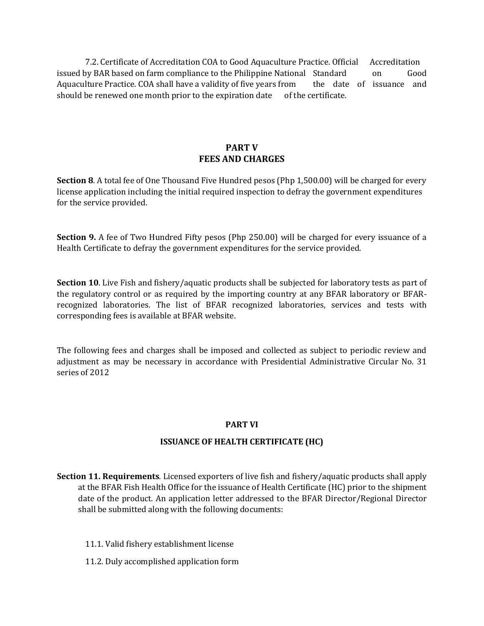7.2. Certificate of Accreditation COA to Good Aquaculture Practice. Official Accreditation issued by BAR based on farm compliance to the Philippine National Standard on Good Aquaculture Practice. COA shall have a validity of five years from the date of issuance and should be renewed one month prior to the expiration date of the certificate.

# **PART V FEES AND CHARGES**

**Section 8**. A total fee of One Thousand Five Hundred pesos (Php 1,500.00) will be charged for every license application including the initial required inspection to defray the government expenditures for the service provided.

**Section 9.** A fee of Two Hundred Fifty pesos (Php 250.00) will be charged for every issuance of a Health Certificate to defray the government expenditures for the service provided.

**Section 10**. Live Fish and fishery/aquatic products shall be subjected for laboratory tests as part of the regulatory control or as required by the importing country at any BFAR laboratory or BFARrecognized laboratories. The list of BFAR recognized laboratories, services and tests with corresponding fees is available at BFAR website.

The following fees and charges shall be imposed and collected as subject to periodic review and adjustment as may be necessary in accordance with Presidential Administrative Circular No. 31 series of 2012

# **PART VI**

# **ISSUANCE OF HEALTH CERTIFICATE (HC)**

**Section 11. Requirements**. Licensed exporters of live fish and fishery/aquatic products shall apply at the BFAR Fish Health Office for the issuance of Health Certificate (HC) prior to the shipment date of the product. An application letter addressed to the BFAR Director/Regional Director shall be submitted along with the following documents:

- 11.1. Valid fishery establishment license
- 11.2. Duly accomplished application form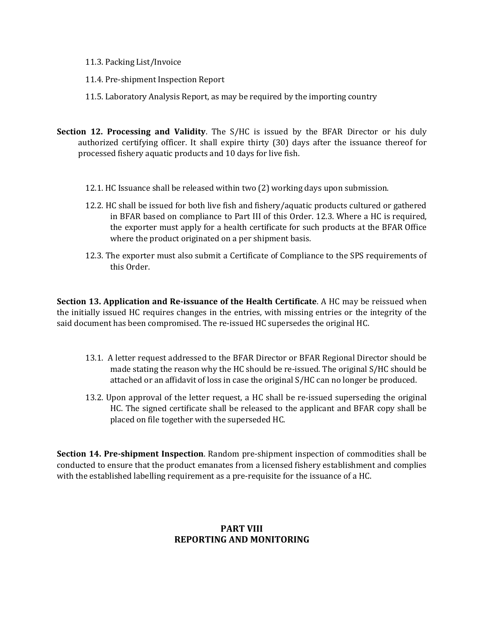- 11.3. Packing List/Invoice
- 11.4. Pre-shipment Inspection Report
- 11.5. Laboratory Analysis Report, as may be required by the importing country
- **Section 12. Processing and Validity**. The S/HC is issued by the BFAR Director or his duly authorized certifying officer. It shall expire thirty (30) days after the issuance thereof for processed fishery aquatic products and 10 days for live fish.
	- 12.1. HC Issuance shall be released within two (2) working days upon submission.
	- 12.2. HC shall be issued for both live fish and fishery/aquatic products cultured or gathered in BFAR based on compliance to Part III of this Order. 12.3. Where a HC is required, the exporter must apply for a health certificate for such products at the BFAR Office where the product originated on a per shipment basis.
	- 12.3. The exporter must also submit a Certificate of Compliance to the SPS requirements of this Order.

**Section 13. Application and Re-issuance of the Health Certificate**. A HC may be reissued when the initially issued HC requires changes in the entries, with missing entries or the integrity of the said document has been compromised. The re-issued HC supersedes the original HC.

- 13.1. A letter request addressed to the BFAR Director or BFAR Regional Director should be made stating the reason why the HC should be re-issued. The original S/HC should be attached or an affidavit of loss in case the original S/HC can no longer be produced.
- 13.2. Upon approval of the letter request, a HC shall be re-issued superseding the original HC. The signed certificate shall be released to the applicant and BFAR copy shall be placed on file together with the superseded HC.

**Section 14. Pre-shipment Inspection**. Random pre-shipment inspection of commodities shall be conducted to ensure that the product emanates from a licensed fishery establishment and complies with the established labelling requirement as a pre-requisite for the issuance of a HC.

# **PART VIII REPORTING AND MONITORING**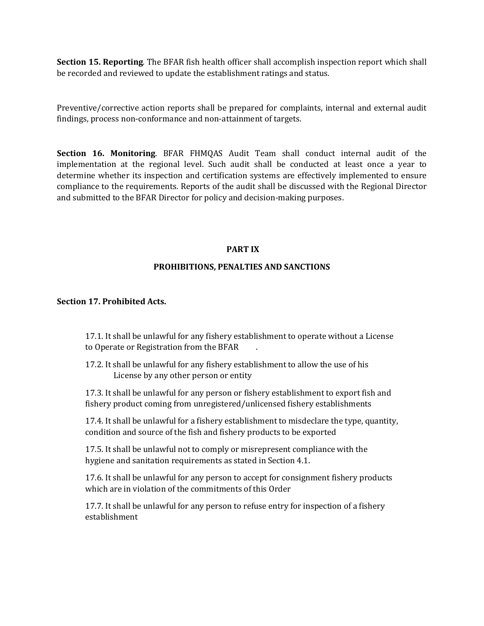**Section 15. Reporting**. The BFAR fish health officer shall accomplish inspection report which shall be recorded and reviewed to update the establishment ratings and status.

Preventive/corrective action reports shall be prepared for complaints, internal and external audit findings, process non-conformance and non-attainment of targets.

**Section 16. Monitoring**. BFAR FHMQAS Audit Team shall conduct internal audit of the implementation at the regional level. Such audit shall be conducted at least once a year to determine whether its inspection and certification systems are effectively implemented to ensure compliance to the requirements. Reports of the audit shall be discussed with the Regional Director and submitted to the BFAR Director for policy and decision-making purposes.

#### **PART IX**

#### **PROHIBITIONS, PENALTIES AND SANCTIONS**

#### **Section 17. Prohibited Acts.**

17.1. It shall be unlawful for any fishery establishment to operate without a License to Operate or Registration from the BFAR .

17.2. It shall be unlawful for any fishery establishment to allow the use of his License by any other person or entity

17.3. It shall be unlawful for any person or fishery establishment to export fish and fishery product coming from unregistered/unlicensed fishery establishments

17.4. It shall be unlawful for a fishery establishment to misdeclare the type, quantity, condition and source of the fish and fishery products to be exported

17.5. It shall be unlawful not to comply or misrepresent compliance with the hygiene and sanitation requirements as stated in Section 4.1.

17.6. It shall be unlawful for any person to accept for consignment fishery products which are in violation of the commitments of this Order

17.7. It shall be unlawful for any person to refuse entry for inspection of a fishery establishment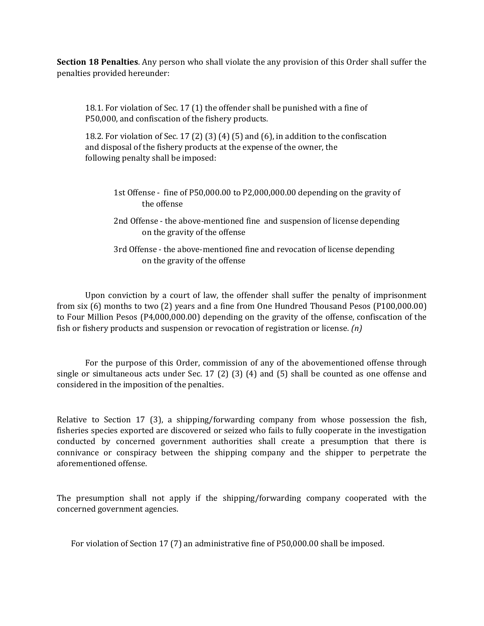**Section 18 Penalties**. Any person who shall violate the any provision of this Order shall suffer the penalties provided hereunder:

18.1. For violation of Sec. 17 (1) the offender shall be punished with a fine of P50,000, and confiscation of the fishery products.

18.2. For violation of Sec. 17 (2) (3) (4) (5) and (6), in addition to the confiscation and disposal of the fishery products at the expense of the owner, the following penalty shall be imposed:

- 1st Offense fine of P50,000.00 to P2,000,000.00 depending on the gravity of the offense
- 2nd Offense the above-mentioned fine and suspension of license depending on the gravity of the offense
- 3rd Offense the above-mentioned fine and revocation of license depending on the gravity of the offense

Upon conviction by a court of law, the offender shall suffer the penalty of imprisonment from six (6) months to two (2) years and a fine from One Hundred Thousand Pesos (P100,000.00) to Four Million Pesos (P4,000,000.00) depending on the gravity of the offense, confiscation of the fish or fishery products and suspension or revocation of registration or license. *(n)*

For the purpose of this Order, commission of any of the abovementioned offense through single or simultaneous acts under Sec. 17 (2) (3) (4) and (5) shall be counted as one offense and considered in the imposition of the penalties.

Relative to Section 17 (3), a shipping/forwarding company from whose possession the fish, fisheries species exported are discovered or seized who fails to fully cooperate in the investigation conducted by concerned government authorities shall create a presumption that there is connivance or conspiracy between the shipping company and the shipper to perpetrate the aforementioned offense.

The presumption shall not apply if the shipping/forwarding company cooperated with the concerned government agencies.

For violation of Section 17 (7) an administrative fine of P50,000.00 shall be imposed.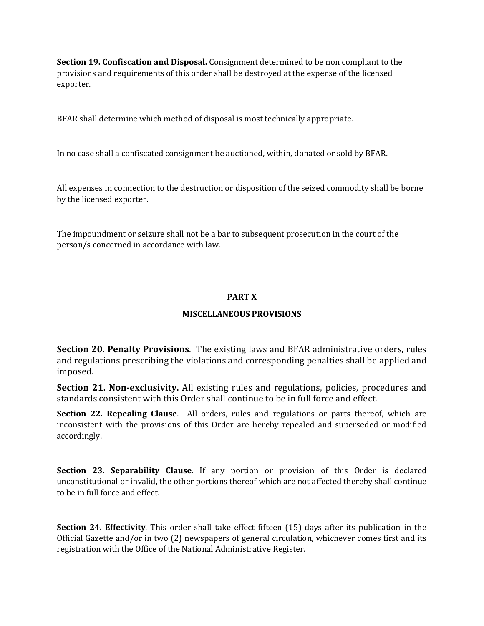**Section 19. Confiscation and Disposal.** Consignment determined to be non compliant to the provisions and requirements of this order shall be destroyed at the expense of the licensed exporter.

BFAR shall determine which method of disposal is most technically appropriate.

In no case shall a confiscated consignment be auctioned, within, donated or sold by BFAR.

All expenses in connection to the destruction or disposition of the seized commodity shall be borne by the licensed exporter.

The impoundment or seizure shall not be a bar to subsequent prosecution in the court of the person/s concerned in accordance with law.

#### **PART X**

# **MISCELLANEOUS PROVISIONS**

**Section 20. Penalty Provisions**. The existing laws and BFAR administrative orders, rules and regulations prescribing the violations and corresponding penalties shall be applied and imposed.

**Section 21. Non-exclusivity.** All existing rules and regulations, policies, procedures and standards consistent with this Order shall continue to be in full force and effect.

**Section 22. Repealing Clause**. All orders, rules and regulations or parts thereof, which are inconsistent with the provisions of this Order are hereby repealed and superseded or modified accordingly.

**Section 23. Separability Clause**. If any portion or provision of this Order is declared unconstitutional or invalid, the other portions thereof which are not affected thereby shall continue to be in full force and effect.

**Section 24. Effectivity**. This order shall take effect fifteen (15) days after its publication in the Official Gazette and/or in two (2) newspapers of general circulation, whichever comes first and its registration with the Office of the National Administrative Register.